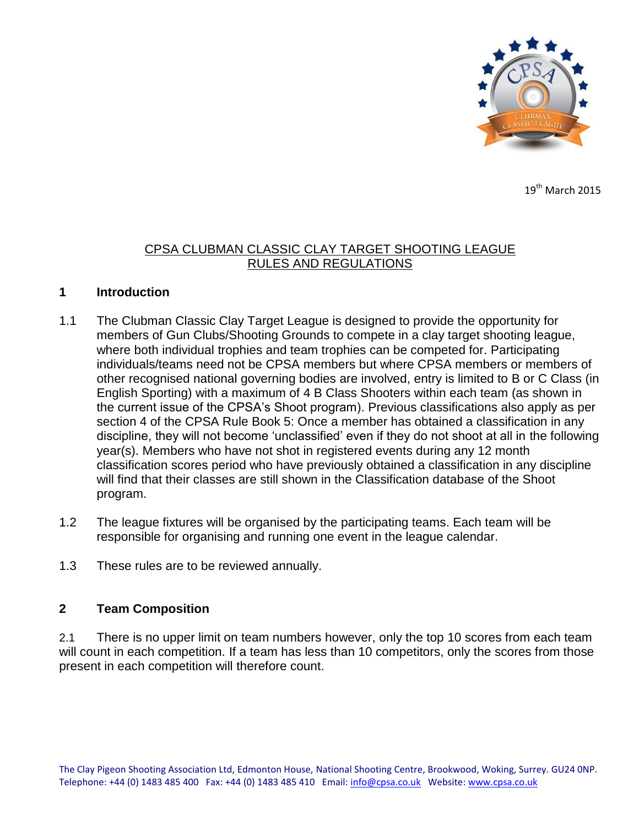

 $19<sup>th</sup>$  March 2015

### CPSA CLUBMAN CLASSIC CLAY TARGET SHOOTING LEAGUE RULES AND REGULATIONS

#### **1 Introduction**

- 1.1 The Clubman Classic Clay Target League is designed to provide the opportunity for members of Gun Clubs/Shooting Grounds to compete in a clay target shooting league, where both individual trophies and team trophies can be competed for. Participating individuals/teams need not be CPSA members but where CPSA members or members of other recognised national governing bodies are involved, entry is limited to B or C Class (in English Sporting) with a maximum of 4 B Class Shooters within each team (as shown in the current issue of the CPSA's Shoot program). Previous classifications also apply as per section 4 of the CPSA Rule Book 5: Once a member has obtained a classification in any discipline, they will not become 'unclassified' even if they do not shoot at all in the following year(s). Members who have not shot in registered events during any 12 month classification scores period who have previously obtained a classification in any discipline will find that their classes are still shown in the Classification database of the Shoot program.
- 1.2 The league fixtures will be organised by the participating teams. Each team will be responsible for organising and running one event in the league calendar.
- 1.3 These rules are to be reviewed annually.

#### **2 Team Composition**

2.1 There is no upper limit on team numbers however, only the top 10 scores from each team will count in each competition. If a team has less than 10 competitors, only the scores from those present in each competition will therefore count.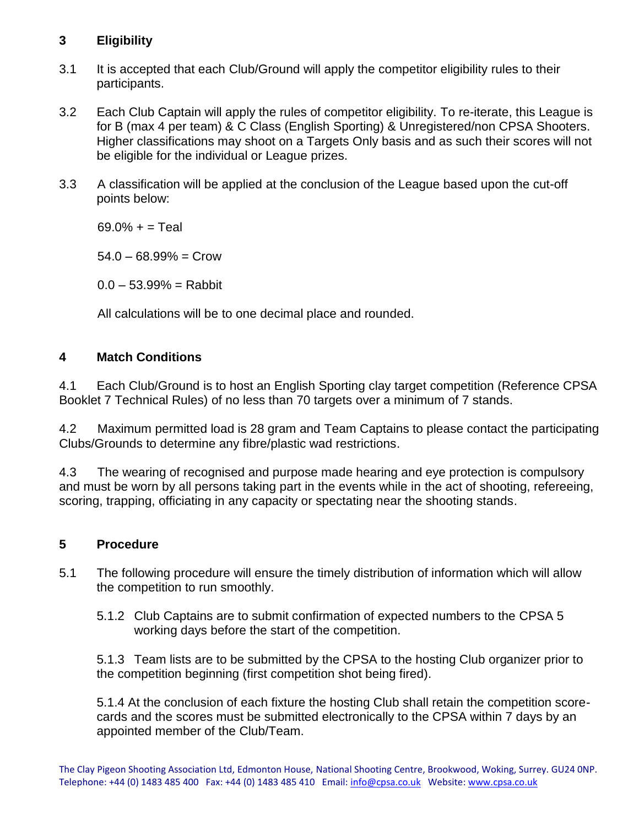# **3 Eligibility**

- 3.1 It is accepted that each Club/Ground will apply the competitor eligibility rules to their participants.
- 3.2 Each Club Captain will apply the rules of competitor eligibility. To re-iterate, this League is for B (max 4 per team) & C Class (English Sporting) & Unregistered/non CPSA Shooters. Higher classifications may shoot on a Targets Only basis and as such their scores will not be eligible for the individual or League prizes.
- 3.3 A classification will be applied at the conclusion of the League based upon the cut-off points below:

 $69.0% + =$ Teal

 $54.0 - 68.99\% =$  Crow

 $0.0 - 53.99% =$ Rabbit

All calculations will be to one decimal place and rounded.

## **4 Match Conditions**

4.1 Each Club/Ground is to host an English Sporting clay target competition (Reference CPSA Booklet 7 Technical Rules) of no less than 70 targets over a minimum of 7 stands.

4.2 Maximum permitted load is 28 gram and Team Captains to please contact the participating Clubs/Grounds to determine any fibre/plastic wad restrictions.

4.3 The wearing of recognised and purpose made hearing and eye protection is compulsory and must be worn by all persons taking part in the events while in the act of shooting, refereeing, scoring, trapping, officiating in any capacity or spectating near the shooting stands.

## **5 Procedure**

- 5.1 The following procedure will ensure the timely distribution of information which will allow the competition to run smoothly.
	- 5.1.2 Club Captains are to submit confirmation of expected numbers to the CPSA 5 working days before the start of the competition.

5.1.3 Team lists are to be submitted by the CPSA to the hosting Club organizer prior to the competition beginning (first competition shot being fired).

5.1.4 At the conclusion of each fixture the hosting Club shall retain the competition scorecards and the scores must be submitted electronically to the CPSA within 7 days by an appointed member of the Club/Team.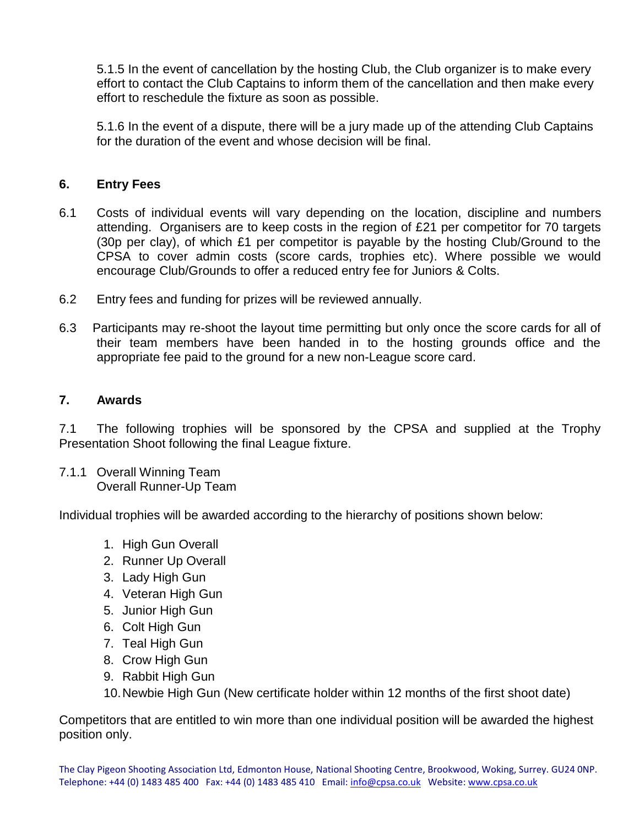5.1.5 In the event of cancellation by the hosting Club, the Club organizer is to make every effort to contact the Club Captains to inform them of the cancellation and then make every effort to reschedule the fixture as soon as possible.

5.1.6 In the event of a dispute, there will be a jury made up of the attending Club Captains for the duration of the event and whose decision will be final.

#### **6. Entry Fees**

- 6.1 Costs of individual events will vary depending on the location, discipline and numbers attending. Organisers are to keep costs in the region of £21 per competitor for 70 targets (30p per clay), of which £1 per competitor is payable by the hosting Club/Ground to the CPSA to cover admin costs (score cards, trophies etc). Where possible we would encourage Club/Grounds to offer a reduced entry fee for Juniors & Colts.
- 6.2 Entry fees and funding for prizes will be reviewed annually.
- 6.3 Participants may re-shoot the layout time permitting but only once the score cards for all of their team members have been handed in to the hosting grounds office and the appropriate fee paid to the ground for a new non-League score card.

#### **7. Awards**

7.1 The following trophies will be sponsored by the CPSA and supplied at the Trophy Presentation Shoot following the final League fixture.

7.1.1 Overall Winning Team Overall Runner-Up Team

Individual trophies will be awarded according to the hierarchy of positions shown below:

- 1. High Gun Overall
- 2. Runner Up Overall
- 3. Lady High Gun
- 4. Veteran High Gun
- 5. Junior High Gun
- 6. Colt High Gun
- 7. Teal High Gun
- 8. Crow High Gun
- 9. Rabbit High Gun
- 10.Newbie High Gun (New certificate holder within 12 months of the first shoot date)

Competitors that are entitled to win more than one individual position will be awarded the highest position only.